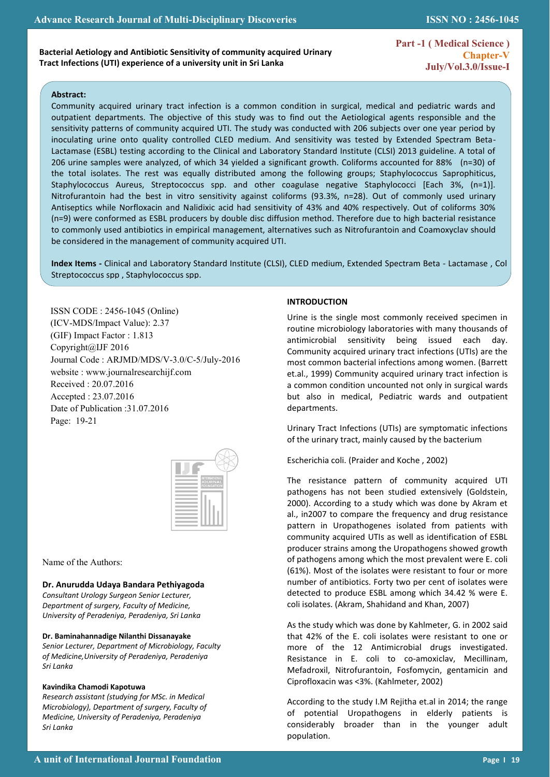**Part -1 ( Medical Science ) Chapter-V July/Vol.3.0/Issue-I** 

**ISSN NO : 2456-1045**

### **Abstract:**

 $\mathbb{R}^2$ 

.

Community acquired urinary tract infection is a common condition in surgical, medical and pediatric wards and outpatient departments. The objective of this study was to find out the Aetiological agents responsible and the sensitivity patterns of community acquired UTI. The study was conducted with 206 subjects over one year period by inoculating urine onto quality controlled CLED medium. And sensitivity was tested by Extended Spectram Beta-Lactamase (ESBL) testing according to the Clinical and Laboratory Standard Institute (CLSI) 2013 guideline. A total of 206 urine samples were analyzed, of which 34 yielded a significant growth. Coliforms accounted for 88% (n=30) of the total isolates. The rest was equally distributed among the following groups; Staphylococcus Saprophiticus, Staphylococcus Aureus, Streptococcus spp. and other coagulase negative Staphylococci [Each 3%, (n=1)]. Nitrofurantoin had the best in vitro sensitivity against coliforms (93.3%, n=28). Out of commonly used urinary Antiseptics while Norfloxacin and Nalidixic acid had sensitivity of 43% and 40% respectively. Out of coliforms 30% (n=9) were conformed as ESBL producers by double disc diffusion method. Therefore due to high bacterial resistance to commonly used antibiotics in empirical management, alternatives such as Nitrofurantoin and Coamoxyclav should be considered in the management of community acquired UTI.

Index Items - Clinical and Laboratory Standard Institute (CLSI), CLED medium, Extended Spectram Beta - Lactamase, Col Streptococcus spp , Staphylococcus spp.

ISSN CODE : 2456-1045 (Online) (ICV-MDS/Impact Value): 2.37 (GIF) Impact Factor : 1.813 Copyright@IJF 2016 Journal Code : ARJMD/MDS/V-3.0/C-5/July-2016 website : www.journalresearchijf.com Received : 20.07.2016 Accepted : 23.07.2016 Date of Publication :31.07.2016 Page: 19-21



Name of the Authors:

### **Dr. Anurudda Udaya Bandara Pethiyagoda**

*Consultant Urology Surgeon Senior Lecturer, Department of surgery, Faculty of Medicine, University of Peradeniya, Peradeniya, Sri Lanka*

#### **Dr. Baminahannadige Nilanthi Dissanayake**

*Senior Lecturer, Department of Microbiology, Faculty of Medicine,University of Peradeniya, Peradeniya Sri Lanka*

#### **Kavindika Chamodi Kapotuwa**

*Research assistant (studying for MSc. in Medical Microbiology), Department of surgery, Faculty of Medicine, University of Peradeniya, Peradeniya Sri Lanka*

### **INTRODUCTION**

Urine is the single most commonly received specimen in routine microbiology laboratories with many thousands of antimicrobial sensitivity being issued each day. Community acquired urinary tract infections (UTIs) are the most common bacterial infections among women. (Barrett et.al., 1999) Community acquired urinary tract infection is a common condition uncounted not only in surgical wards but also in medical, Pediatric wards and outpatient departments.

Urinary Tract Infections (UTIs) are symptomatic infections of the urinary tract, mainly caused by the bacterium

Escherichia coli. (Praider and Koche , 2002)

The resistance pattern of community acquired UTI pathogens has not been studied extensively (Goldstein, 2000). According to a study which was done by Akram et al., in2007 to compare the frequency and drug resistance pattern in Uropathogenes isolated from patients with community acquired UTIs as well as identification of ESBL producer strains among the Uropathogens showed growth of pathogens among which the most prevalent were E. coli (61%). Most of the isolates were resistant to four or more number of antibiotics. Forty two per cent of isolates were detected to produce ESBL among which 34.42 % were E. coli isolates. (Akram, Shahidand and Khan, 2007)

As the study which was done by Kahlmeter, G. in 2002 said that 42% of the E. coli isolates were resistant to one or more of the 12 Antimicrobial drugs investigated. Resistance in E. coli to co-amoxiclav, Mecillinam, Mefadroxil, Nitrofurantoin, Fosfomycin, gentamicin and Ciprofloxacin was <3%. (Kahlmeter, 2002)

According to the study I.M Rejitha et.al in 2014; the range of potential Uropathogens in elderly patients is considerably broader than in the younger adult population.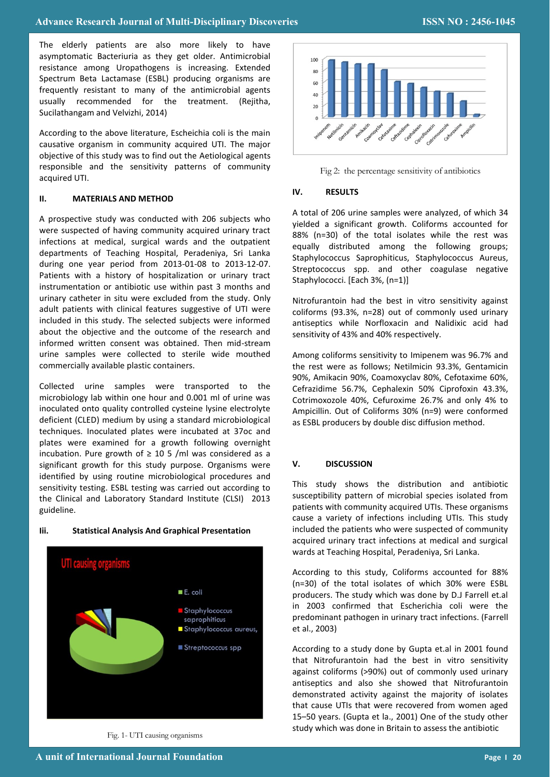The elderly patients are also more likely to have asymptomatic Bacteriuria as they get older. Antimicrobial resistance among Uropathogens is increasing. Extended Spectrum Beta Lactamase (ESBL) producing organisms are frequently resistant to many of the antimicrobial agents usually recommended for the treatment. (Rejitha, Sucilathangam and Velvizhi, 2014)

According to the above literature, Escheichia coli is the main causative organism in community acquired UTI. The major objective of this study was to find out the Aetiological agents responsible and the sensitivity patterns of community acquired UTI.

#### **II. MATERIALS AND METHOD**

A prospective study was conducted with 206 subjects who were suspected of having community acquired urinary tract infections at medical, surgical wards and the outpatient departments of Teaching Hospital, Peradeniya, Sri Lanka during one year period from 2013-01-08 to 2013-12-07. Patients with a history of hospitalization or urinary tract instrumentation or antibiotic use within past 3 months and urinary catheter in situ were excluded from the study. Only adult patients with clinical features suggestive of UTI were included in this study. The selected subjects were informed about the objective and the outcome of the research and informed written consent was obtained. Then mid-stream urine samples were collected to sterile wide mouthed commercially available plastic containers.

Collected urine samples were transported to the microbiology lab within one hour and 0.001 ml of urine was inoculated onto quality controlled cysteine lysine electrolyte deficient (CLED) medium by using a standard microbiological techniques. Inoculated plates were incubated at 37oc and plates were examined for a growth following overnight incubation. Pure growth of  $\geq$  10 5 /ml was considered as a significant growth for this study purpose. Organisms were identified by using routine microbiological procedures and sensitivity testing. ESBL testing was carried out according to the Clinical and Laboratory Standard Institute (CLSI) 2013 guideline.

### **Iii. Statistical Analysis And Graphical Presentation**



Fig. 1- UTI causing organisms



Fig 2: the percentage sensitivity of antibiotics

## **IV. RESULTS**

A total of 206 urine samples were analyzed, of which 34 yielded a significant growth. Coliforms accounted for 88% (n=30) of the total isolates while the rest was equally distributed among the following groups; Staphylococcus Saprophiticus, Staphylococcus Aureus, Streptococcus spp. and other coagulase negative Staphylococci. [Each 3%, (n=1)]

Nitrofurantoin had the best in vitro sensitivity against coliforms (93.3%, n=28) out of commonly used urinary antiseptics while Norfloxacin and Nalidixic acid had sensitivity of 43% and 40% respectively.

Among coliforms sensitivity to Imipenem was 96.7% and the rest were as follows; Netilmicin 93.3%, Gentamicin 90%, Amikacin 90%, Coamoxyclav 80%, Cefotaxime 60%, Cefrazidime 56.7%, Cephalexin 50% Ciprofoxin 43.3%, Cotrimoxozole 40%, Cefuroxime 26.7% and only 4% to Ampicillin. Out of Coliforms 30% (n=9) were conformed as ESBL producers by double disc diffusion method.

# **V. DISCUSSION**

This study shows the distribution and antibiotic susceptibility pattern of microbial species isolated from patients with community acquired UTIs. These organisms cause a variety of infections including UTIs. This study included the patients who were suspected of community acquired urinary tract infections at medical and surgical wards at Teaching Hospital, Peradeniya, Sri Lanka.

According to this study, Coliforms accounted for 88% (n=30) of the total isolates of which 30% were ESBL producers. The study which was done by D.J Farrell et.al in 2003 confirmed that Escherichia coli were the predominant pathogen in urinary tract infections. (Farrell et al., 2003)

According to a study done by Gupta et.al in 2001 found that Nitrofurantoin had the best in vitro sensitivity against coliforms (>90%) out of commonly used urinary antiseptics and also she showed that Nitrofurantoin demonstrated activity against the majority of isolates that cause UTIs that were recovered from women aged 15–50 years. (Gupta et la., 2001) One of the study other study which was done in Britain to assess the antibiotic